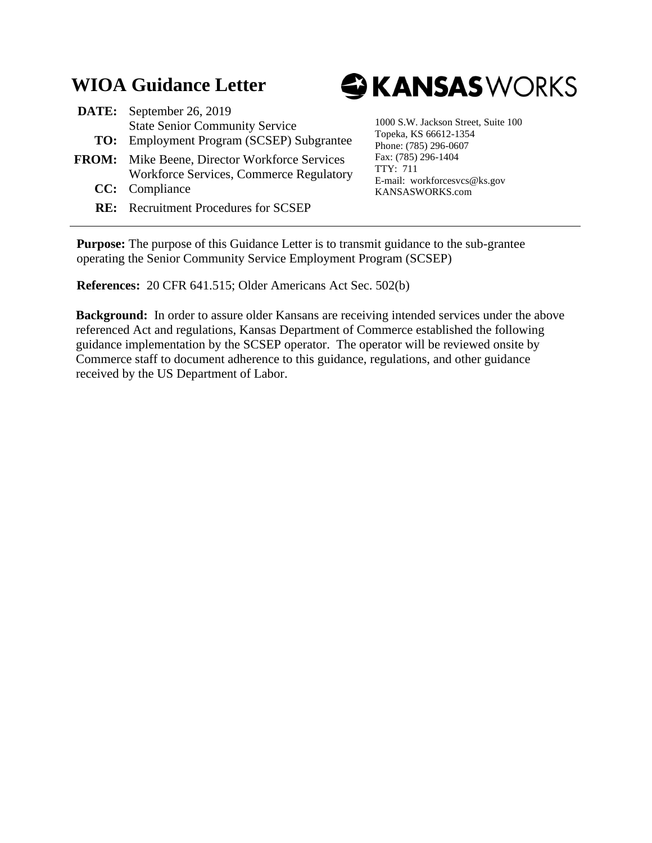# **WIOA Guidance Letter**

| <b>DATE:</b> September 26, 2019                  |
|--------------------------------------------------|
| <b>State Senior Community Service</b>            |
| <b>TO:</b> Employment Program (SCSEP) Subgrantee |

- **FROM:** Mike Beene, Director Workforce Services **CC:** Compliance Workforce Services, Commerce Regulatory
	- **RE:** Recruitment Procedures for SCSEP



1000 S.W. Jackson Street, Suite 100 Topeka, KS 66612-1354 Phone: (785) 296-0607 Fax: (785) 296-1404 TTY: 711 E-mail: workforcesvcs@ks.gov KANSASWORKS.com

**Purpose:** The purpose of this Guidance Letter is to transmit guidance to the sub-grantee operating the Senior Community Service Employment Program (SCSEP)

**References:** 20 CFR 641.515; Older Americans Act Sec. 502(b)

**Background:** In order to assure older Kansans are receiving intended services under the above referenced Act and regulations, Kansas Department of Commerce established the following guidance implementation by the SCSEP operator. The operator will be reviewed onsite by Commerce staff to document adherence to this guidance, regulations, and other guidance received by the US Department of Labor.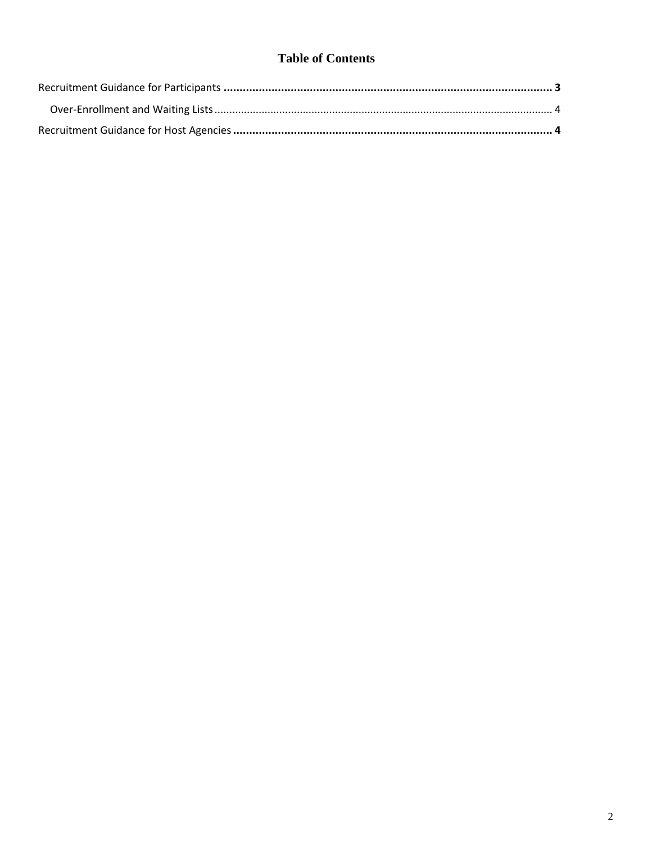## **Table of Contents**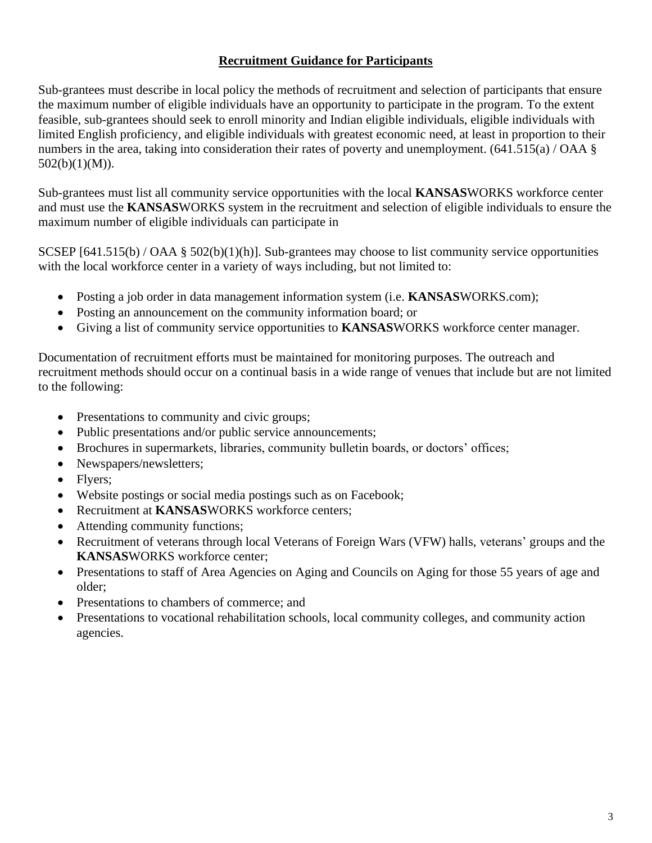#### **Recruitment Guidance for Participants**

<span id="page-2-0"></span>Sub-grantees must describe in local policy the methods of recruitment and selection of participants that ensure the maximum number of eligible individuals have an opportunity to participate in the program. To the extent feasible, sub-grantees should seek to enroll minority and Indian eligible individuals, eligible individuals with limited English proficiency, and eligible individuals with greatest economic need, at least in proportion to their numbers in the area, taking into consideration their rates of poverty and unemployment. (641.515(a) / OAA § 502(b)(1)(M)).

Sub-grantees must list all community service opportunities with the local **KANSAS**WORKS workforce center and must use the **KANSAS**WORKS system in the recruitment and selection of eligible individuals to ensure the maximum number of eligible individuals can participate in

SCSEP [641.515(b) / OAA § 502(b)(1)(h)]. Sub-grantees may choose to list community service opportunities with the local workforce center in a variety of ways including, but not limited to:

- Posting a job order in data management information system (i.e. **KANSAS**WORKS.com);
- Posting an announcement on the community information board; or
- Giving a list of community service opportunities to **KANSAS**WORKS workforce center manager.

Documentation of recruitment efforts must be maintained for monitoring purposes. The outreach and recruitment methods should occur on a continual basis in a wide range of venues that include but are not limited to the following:

- Presentations to community and civic groups;
- Public presentations and/or public service announcements;
- Brochures in supermarkets, libraries, community bulletin boards, or doctors' offices;
- Newspapers/newsletters;
- Flyers;
- Website postings or social media postings such as on Facebook;
- Recruitment at **KANSAS**WORKS workforce centers;
- Attending community functions;
- Recruitment of veterans through local Veterans of Foreign Wars (VFW) halls, veterans' groups and the **KANSAS**WORKS workforce center;
- Presentations to staff of Area Agencies on Aging and Councils on Aging for those 55 years of age and older;
- Presentations to chambers of commerce; and
- Presentations to vocational rehabilitation schools, local community colleges, and community action agencies.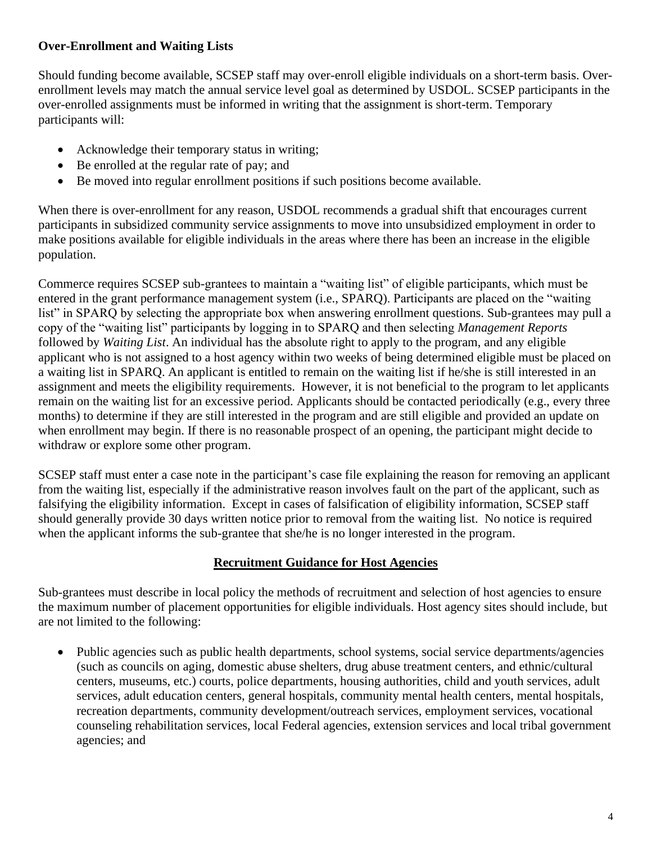### <span id="page-3-0"></span>**Over-Enrollment and Waiting Lists**

Should funding become available, SCSEP staff may over-enroll eligible individuals on a short-term basis. Overenrollment levels may match the annual service level goal as determined by USDOL. SCSEP participants in the over-enrolled assignments must be informed in writing that the assignment is short-term. Temporary participants will:

- Acknowledge their temporary status in writing;
- Be enrolled at the regular rate of pay; and
- Be moved into regular enrollment positions if such positions become available.

When there is over-enrollment for any reason, USDOL recommends a gradual shift that encourages current participants in subsidized community service assignments to move into unsubsidized employment in order to make positions available for eligible individuals in the areas where there has been an increase in the eligible population.

Commerce requires SCSEP sub-grantees to maintain a "waiting list" of eligible participants, which must be entered in the grant performance management system (i.e., SPARQ). Participants are placed on the "waiting list" in SPARQ by selecting the appropriate box when answering enrollment questions. Sub-grantees may pull a copy of the "waiting list" participants by logging in to SPARQ and then selecting *Management Reports* followed by *Waiting List*. An individual has the absolute right to apply to the program, and any eligible applicant who is not assigned to a host agency within two weeks of being determined eligible must be placed on a waiting list in SPARQ. An applicant is entitled to remain on the waiting list if he/she is still interested in an assignment and meets the eligibility requirements. However, it is not beneficial to the program to let applicants remain on the waiting list for an excessive period. Applicants should be contacted periodically (e.g., every three months) to determine if they are still interested in the program and are still eligible and provided an update on when enrollment may begin. If there is no reasonable prospect of an opening, the participant might decide to withdraw or explore some other program.

SCSEP staff must enter a case note in the participant's case file explaining the reason for removing an applicant from the waiting list, especially if the administrative reason involves fault on the part of the applicant, such as falsifying the eligibility information. Except in cases of falsification of eligibility information, SCSEP staff should generally provide 30 days written notice prior to removal from the waiting list. No notice is required when the applicant informs the sub-grantee that she/he is no longer interested in the program.

#### **Recruitment Guidance for Host Agencies**

<span id="page-3-1"></span>Sub-grantees must describe in local policy the methods of recruitment and selection of host agencies to ensure the maximum number of placement opportunities for eligible individuals. Host agency sites should include, but are not limited to the following:

• Public agencies such as public health departments, school systems, social service departments/agencies (such as councils on aging, domestic abuse shelters, drug abuse treatment centers, and ethnic/cultural centers, museums, etc.) courts, police departments, housing authorities, child and youth services, adult services, adult education centers, general hospitals, community mental health centers, mental hospitals, recreation departments, community development/outreach services, employment services, vocational counseling rehabilitation services, local Federal agencies, extension services and local tribal government agencies; and